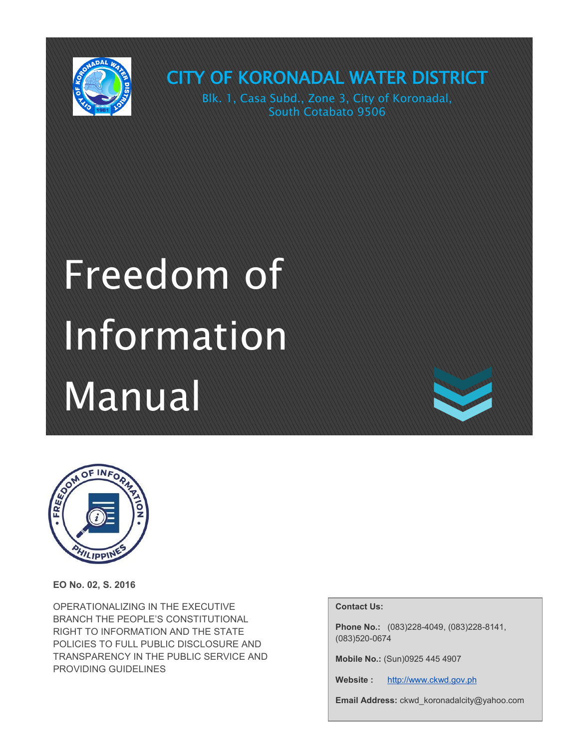

CITY OF KORONADAL WATER DISTRICT Blk. 1, Casa Subd., Zone 3, City of Koronadal,

South Cotabato 9506

# Freedom of Information Manual



**EO No. 02, S. 2016**

OPERATIONALIZING IN THE EXECUTIVE BRANCH THE PEOPLE'S CONSTITUTIONAL RIGHT TO INFORMATION AND THE STATE POLICIES TO FULL PUBLIC DISCLOSURE AND TRANSPARENCY IN THE PUBLIC SERVICE AND PROVIDING GUIDELINES

#### **Contact Us:**

**Phone No.:** (083)228-4049, (083)228-8141, (083)520-0674

**Mobile No.:** (Sun)0925 445 4907

Website : [http://www.ckwd.gov.ph](https://web.archive.org/web/20161019024402/http:/www.ckwd.gov.ph/)

**Email Address:** ckwd\_koronadalcity@yahoo.com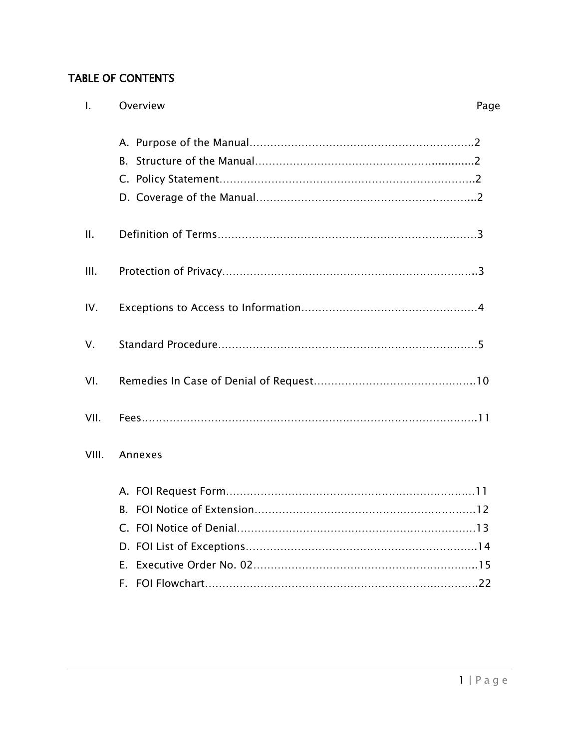# TABLE OF CONTENTS

| $\mathbf{L}$ | Overview | Page |
|--------------|----------|------|
|              |          |      |
| $\Pi$ .      |          |      |
| III.         |          |      |
| IV.          |          |      |
| V.           |          |      |
| VI.          |          |      |
| VII.         |          |      |
| VIII.        | Annexes  |      |
|              |          |      |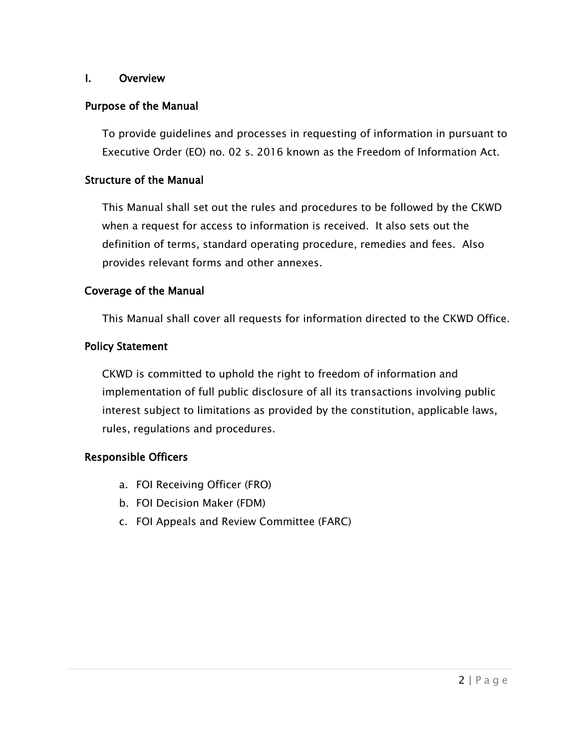#### I. Overview

#### Purpose of the Manual

To provide guidelines and processes in requesting of information in pursuant to Executive Order (EO) no. 02 s. 2016 known as the Freedom of Information Act.

#### Structure of the Manual

This Manual shall set out the rules and procedures to be followed by the CKWD when a request for access to information is received. It also sets out the definition of terms, standard operating procedure, remedies and fees. Also provides relevant forms and other annexes.

#### Coverage of the Manual

This Manual shall cover all requests for information directed to the CKWD Office.

#### Policy Statement

CKWD is committed to uphold the right to freedom of information and implementation of full public disclosure of all its transactions involving public interest subject to limitations as provided by the constitution, applicable laws, rules, regulations and procedures.

#### Responsible Officers

- a. FOI Receiving Officer (FRO)
- b. FOI Decision Maker (FDM)
- c. FOI Appeals and Review Committee (FARC)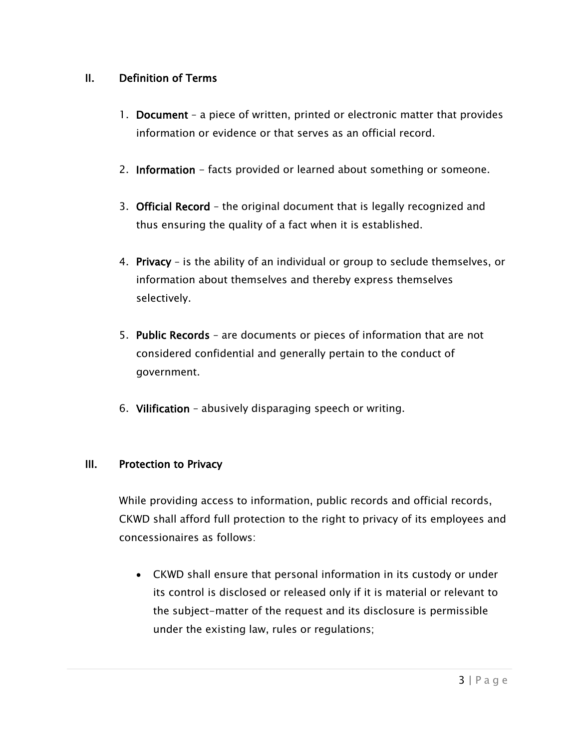# II. Definition of Terms

- 1. Document a piece of written, printed or electronic matter that provides information or evidence or that serves as an official record.
- 2. Information facts provided or learned about something or someone.
- 3. Official Record the original document that is legally recognized and thus ensuring the quality of a fact when it is established.
- 4. Privacy is the ability of an individual or group to seclude themselves, or information about themselves and thereby express themselves selectively.
- 5. Public Records are documents or pieces of information that are not considered confidential and generally pertain to the conduct of government.
- 6. Vilification abusively disparaging speech or writing.

#### III. Protection to Privacy

While providing access to information, public records and official records, CKWD shall afford full protection to the right to privacy of its employees and concessionaires as follows:

 CKWD shall ensure that personal information in its custody or under its control is disclosed or released only if it is material or relevant to the subject-matter of the request and its disclosure is permissible under the existing law, rules or regulations;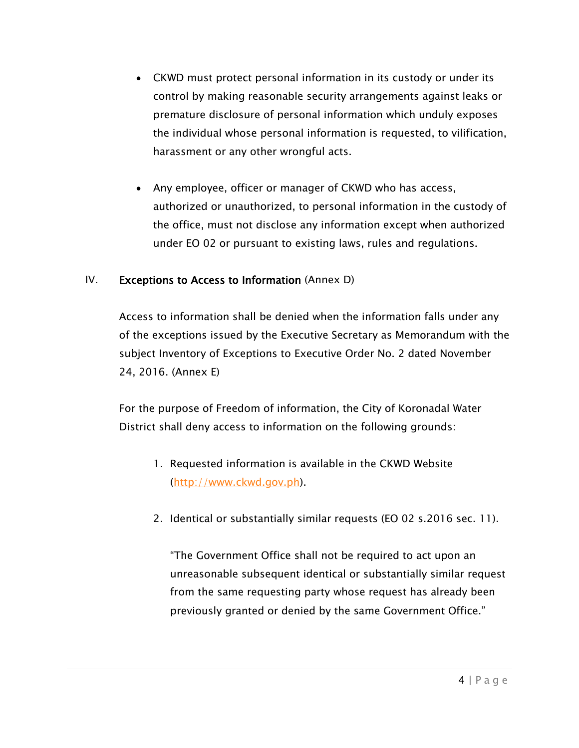- CKWD must protect personal information in its custody or under its control by making reasonable security arrangements against leaks or premature disclosure of personal information which unduly exposes the individual whose personal information is requested, to vilification, harassment or any other wrongful acts.
- Any employee, officer or manager of CKWD who has access, authorized or unauthorized, to personal information in the custody of the office, must not disclose any information except when authorized under EO 02 or pursuant to existing laws, rules and regulations.

#### IV. Exceptions to Access to Information (Annex D)

Access to information shall be denied when the information falls under any of the exceptions issued by the Executive Secretary as Memorandum with the subject Inventory of Exceptions to Executive Order No. 2 dated November 24, 2016. (Annex E)

For the purpose of Freedom of information, the City of Koronadal Water District shall deny access to information on the following grounds:

- 1. Requested information is available in the CKWD Website [\(http://www.ckwd.gov.ph\)](http://www.ckwd.gov.ph/).
- 2. Identical or substantially similar requests (EO 02 s.2016 sec. 11).

"The Government Office shall not be required to act upon an unreasonable subsequent identical or substantially similar request from the same requesting party whose request has already been previously granted or denied by the same Government Office."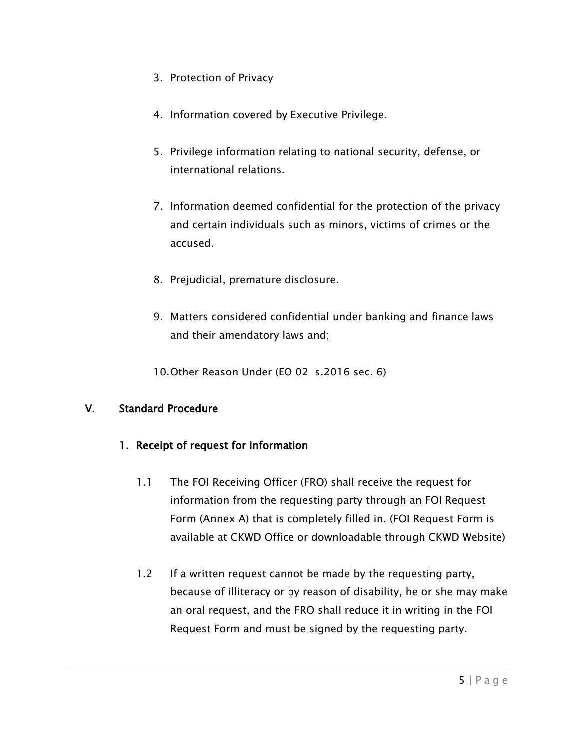- 3. Protection of Privacy
- 4. Information covered by Executive Privilege.
- 5. Privilege information relating to national security, defense, or international relations.
- 7. Information deemed confidential for the protection of the privacy and certain individuals such as minors, victims of crimes or the accused.
- 8. Prejudicial, premature disclosure.
- 9. Matters considered confidential under banking and finance laws and their amendatory laws and;
- 10.Other Reason Under (EO 02 s.2016 sec. 6)

# V. Standard Procedure

# 1. Receipt of request for information

- 1.1 The FOI Receiving Officer (FRO) shall receive the request for information from the requesting party through an FOI Request Form (Annex A) that is completely filled in. (FOI Request Form is available at CKWD Office or downloadable through CKWD Website)
- 1.2 If a written request cannot be made by the requesting party, because of illiteracy or by reason of disability, he or she may make an oral request, and the FRO shall reduce it in writing in the FOI Request Form and must be signed by the requesting party.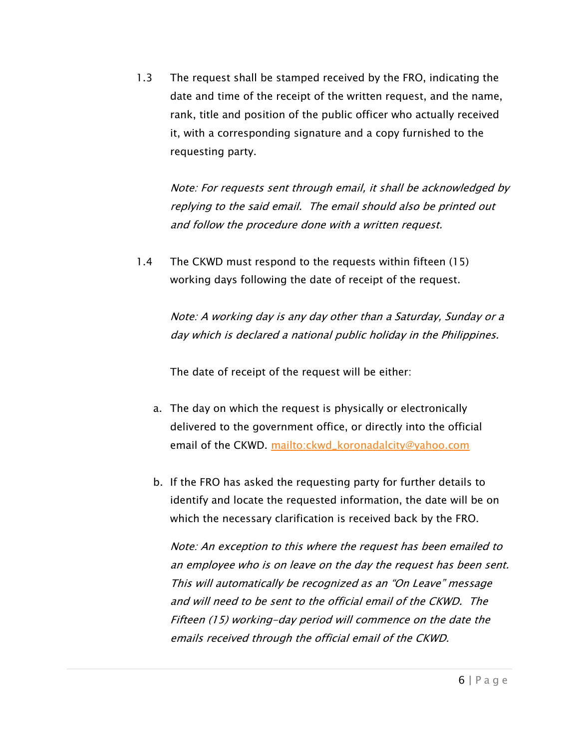1.3 The request shall be stamped received by the FRO, indicating the date and time of the receipt of the written request, and the name, rank, title and position of the public officer who actually received it, with a corresponding signature and a copy furnished to the requesting party.

Note: For requests sent through email, it shall be acknowledged by replying to the said email. The email should also be printed out and follow the procedure done with a written request.

1.4 The CKWD must respond to the requests within fifteen (15) working days following the date of receipt of the request.

> Note: A working day is any day other than a Saturday, Sunday or a day which is declared a national public holiday in the Philippines.

The date of receipt of the request will be either:

- a. The day on which the request is physically or electronically delivered to the government office, or directly into the official email of the CKWD. [mailto:ckwd\\_koronadalcity@yahoo.com](mailto:ckwd_koronadalcity@yahoo.com)
- b. If the FRO has asked the requesting party for further details to identify and locate the requested information, the date will be on which the necessary clarification is received back by the FRO.

Note: An exception to this where the request has been emailed to an employee who is on leave on the day the request has been sent. This will automatically be recognized as an "On Leave" message and will need to be sent to the official email of the CKWD. The Fifteen (15) working-day period will commence on the date the emails received through the official email of the CKWD.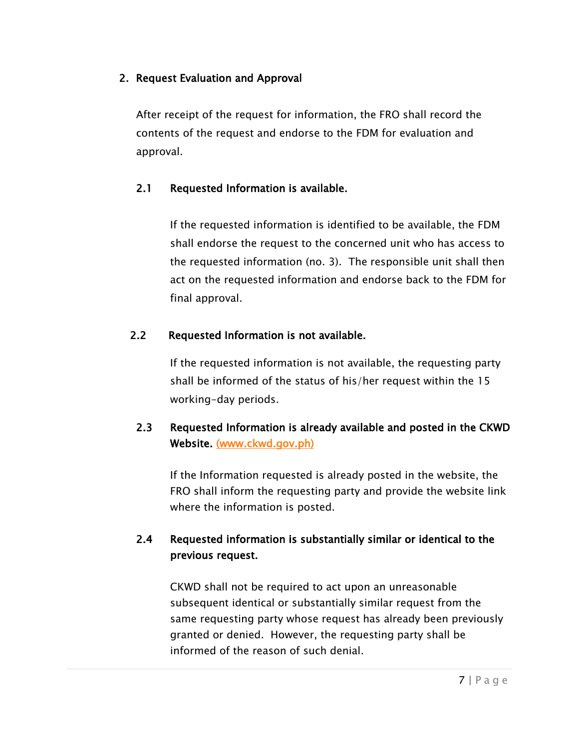# 2. Request Evaluation and Approval

After receipt of the request for information, the FRO shall record the contents of the request and endorse to the FDM for evaluation and approval.

# 2.1 Requested Information is available.

If the requested information is identified to be available, the FDM shall endorse the request to the concerned unit who has access to the requested information (no. 3). The responsible unit shall then act on the requested information and endorse back to the FDM for final approval.

# 2.2 Requested Information is not available.

If the requested information is not available, the requesting party shall be informed of the status of his/her request within the 15 working-day periods.

# 2.3 Requested Information is already available and posted in the CKWD Website. [\(www.ckwd.gov.ph\)](http://www.ckwd.gov.ph/)

If the Information requested is already posted in the website, the FRO shall inform the requesting party and provide the website link where the information is posted.

# 2.4 Requested information is substantially similar or identical to the previous request.

CKWD shall not be required to act upon an unreasonable subsequent identical or substantially similar request from the same requesting party whose request has already been previously granted or denied. However, the requesting party shall be informed of the reason of such denial.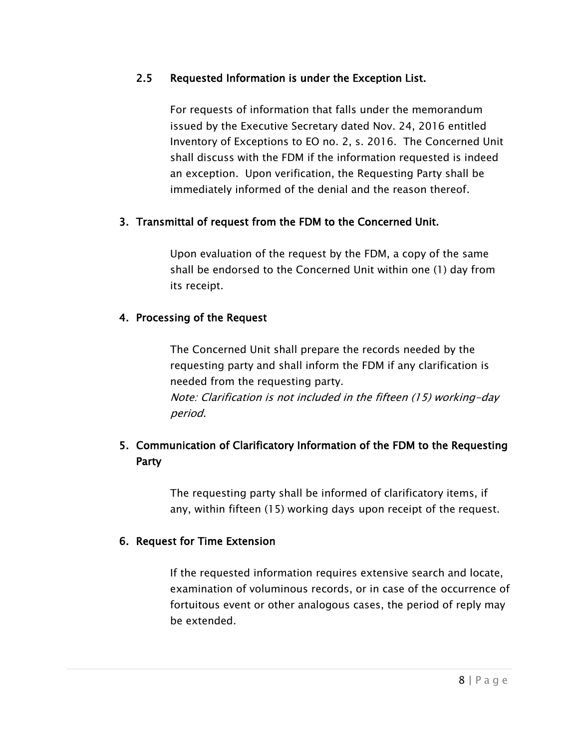# 2.5 Requested Information is under the Exception List.

For requests of information that falls under the memorandum issued by the Executive Secretary dated Nov. 24, 2016 entitled Inventory of Exceptions to EO no. 2, s. 2016. The Concerned Unit shall discuss with the FDM if the information requested is indeed an exception. Upon verification, the Requesting Party shall be immediately informed of the denial and the reason thereof.

# 3. Transmittal of request from the FDM to the Concerned Unit.

Upon evaluation of the request by the FDM, a copy of the same shall be endorsed to the Concerned Unit within one (1) day from its receipt.

# 4. Processing of the Request

The Concerned Unit shall prepare the records needed by the requesting party and shall inform the FDM if any clarification is needed from the requesting party. Note: Clarification is not included in the fifteen (15) working-day period.

# 5. Communication of Clarificatory Information of the FDM to the Requesting Party

The requesting party shall be informed of clarificatory items, if any, within fifteen (15) working days upon receipt of the request.

#### 6. Request for Time Extension

If the requested information requires extensive search and locate, examination of voluminous records, or in case of the occurrence of fortuitous event or other analogous cases, the period of reply may be extended.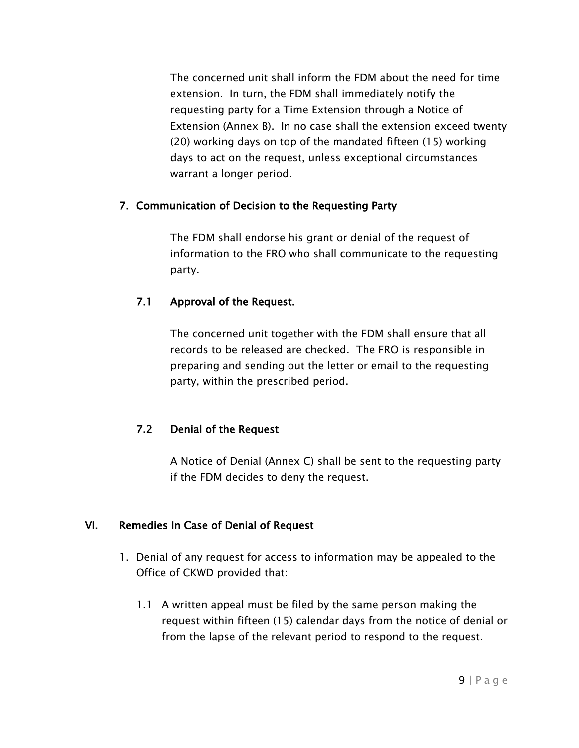The concerned unit shall inform the FDM about the need for time extension. In turn, the FDM shall immediately notify the requesting party for a Time Extension through a Notice of Extension (Annex B). In no case shall the extension exceed twenty (20) working days on top of the mandated fifteen (15) working days to act on the request, unless exceptional circumstances warrant a longer period.

# 7. Communication of Decision to the Requesting Party

The FDM shall endorse his grant or denial of the request of information to the FRO who shall communicate to the requesting party.

# 7.1 Approval of the Request.

The concerned unit together with the FDM shall ensure that all records to be released are checked. The FRO is responsible in preparing and sending out the letter or email to the requesting party, within the prescribed period.

# 7.2 Denial of the Request

A Notice of Denial (Annex C) shall be sent to the requesting party if the FDM decides to deny the request.

# VI. Remedies In Case of Denial of Request

- 1. Denial of any request for access to information may be appealed to the Office of CKWD provided that:
	- 1.1 A written appeal must be filed by the same person making the request within fifteen (15) calendar days from the notice of denial or from the lapse of the relevant period to respond to the request.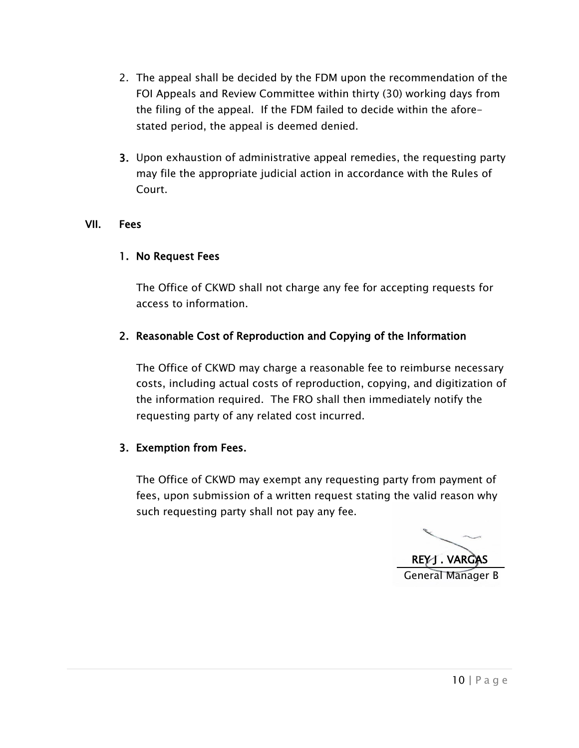- 2. The appeal shall be decided by the FDM upon the recommendation of the FOI Appeals and Review Committee within thirty (30) working days from the filing of the appeal. If the FDM failed to decide within the aforestated period, the appeal is deemed denied.
- 3. Upon exhaustion of administrative appeal remedies, the requesting party may file the appropriate judicial action in accordance with the Rules of Court.

#### VII. Fees

#### 1. No Request Fees

The Office of CKWD shall not charge any fee for accepting requests for access to information.

#### 2. Reasonable Cost of Reproduction and Copying of the Information

The Office of CKWD may charge a reasonable fee to reimburse necessary costs, including actual costs of reproduction, copying, and digitization of the information required. The FRO shall then immediately notify the requesting party of any related cost incurred.

#### 3. Exemption from Fees.

The Office of CKWD may exempt any requesting party from payment of fees, upon submission of a written request stating the valid reason why such requesting party shall not pay any fee.

REY J. VARGAS General Manager B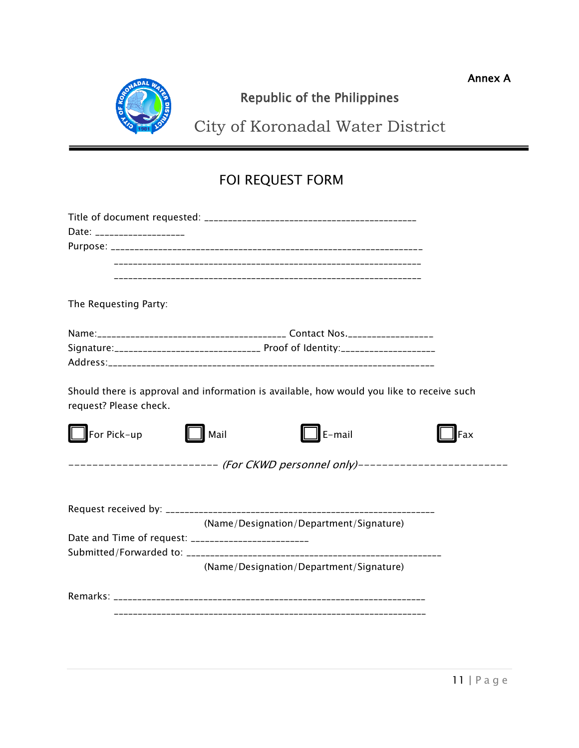Annex A



# Republic of the Philippines

City of Koronadal Water District

# FOI REQUEST FORM

| Date: ____________________                                                                                          |                                                                                 |     |  |  |
|---------------------------------------------------------------------------------------------------------------------|---------------------------------------------------------------------------------|-----|--|--|
|                                                                                                                     |                                                                                 |     |  |  |
|                                                                                                                     |                                                                                 |     |  |  |
|                                                                                                                     |                                                                                 |     |  |  |
| The Requesting Party:                                                                                               |                                                                                 |     |  |  |
|                                                                                                                     |                                                                                 |     |  |  |
|                                                                                                                     |                                                                                 |     |  |  |
|                                                                                                                     |                                                                                 |     |  |  |
| Should there is approval and information is available, how would you like to receive such<br>request? Please check. |                                                                                 |     |  |  |
| For Pick-up                                                                                                         | E-mail<br>Mail                                                                  | Fax |  |  |
|                                                                                                                     | ----------------------- <i>(For CKWD personnel only)-----------------------</i> |     |  |  |
|                                                                                                                     |                                                                                 |     |  |  |
|                                                                                                                     | (Name/Designation/Department/Signature)                                         |     |  |  |
| Date and Time of request: ___________________________                                                               |                                                                                 |     |  |  |
|                                                                                                                     | (Name/Designation/Department/Signature)                                         |     |  |  |
|                                                                                                                     |                                                                                 |     |  |  |
|                                                                                                                     |                                                                                 |     |  |  |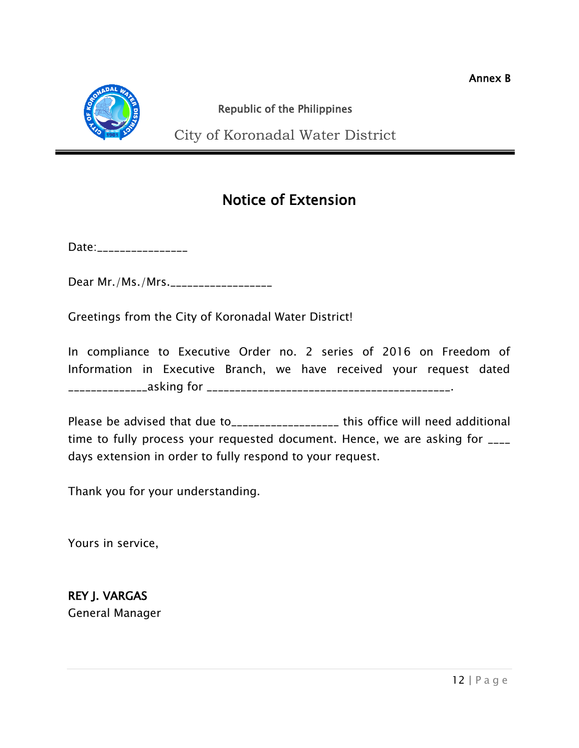

# Republic of the Philippines

City of Koronadal Water District

# Notice of Extension

Date:\_\_\_\_\_\_\_\_\_\_\_\_\_\_\_\_\_

Dear Mr./Ms./Mrs.\_\_\_\_\_\_\_\_\_\_\_\_\_\_\_\_\_\_\_

Greetings from the City of Koronadal Water District!

In compliance to Executive Order no. 2 series of 2016 on Freedom of Information in Executive Branch, we have received your request dated \_\_\_\_\_\_\_\_\_\_\_\_\_\_asking for \_\_\_\_\_\_\_\_\_\_\_\_\_\_\_\_\_\_\_\_\_\_\_\_\_\_\_\_\_\_\_\_\_\_\_\_\_\_\_\_\_\_\_.

Please be advised that due to\_\_\_\_\_\_\_\_\_\_\_\_\_\_\_\_\_\_\_\_ this office will need additional time to fully process your requested document. Hence, we are asking for \_\_\_\_ days extension in order to fully respond to your request.

Thank you for your understanding.

Yours in service,

REY J. VARGAS General Manager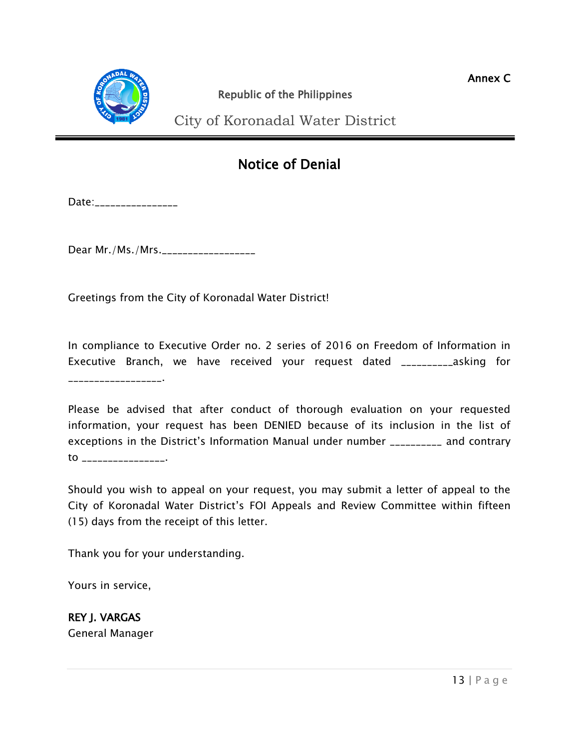

City of Koronadal Water District  $\overline{a}$ 

# Notice of Denial

Date:\_\_\_\_\_\_\_\_\_\_\_\_\_\_\_\_\_

Dear Mr./Ms./Mrs.\_\_\_\_\_\_\_\_\_\_\_\_\_\_\_\_\_\_

Greetings from the City of Koronadal Water District!

In compliance to Executive Order no. 2 series of 2016 on Freedom of Information in Executive Branch, we have received your request dated \_\_\_\_\_\_\_\_\_\_asking for \_\_\_\_\_\_\_\_\_\_\_\_\_\_\_\_\_\_\_**\_\_\_\_** 

Please be advised that after conduct of thorough evaluation on your requested information, your request has been DENIED because of its inclusion in the list of exceptions in the District's Information Manual under number \_\_\_\_\_\_\_\_\_\_ and contrary to \_\_\_\_\_\_\_\_\_\_\_\_\_\_\_\_.

Should you wish to appeal on your request, you may submit a letter of appeal to the City of Koronadal Water District's FOI Appeals and Review Committee within fifteen (15) days from the receipt of this letter.

Thank you for your understanding.

Yours in service,

REY J. VARGAS General Manager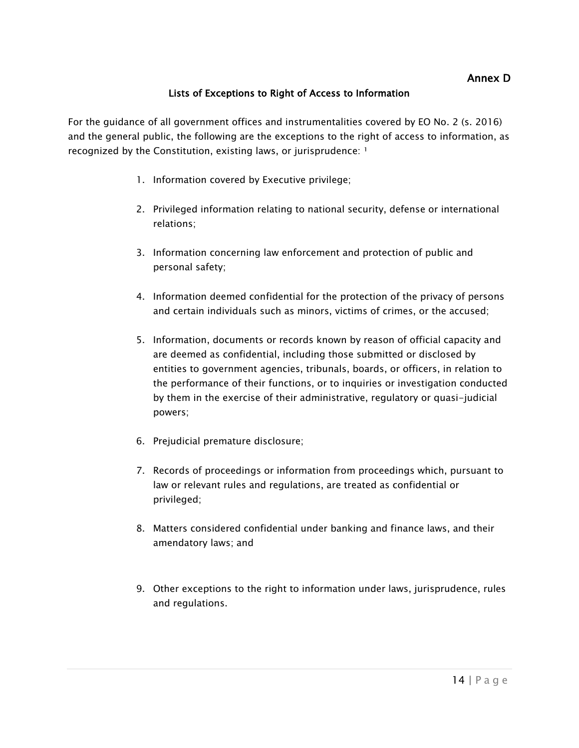#### Lists of Exceptions to Right of Access to Information

For the guidance of all government offices and instrumentalities covered by EO No. 2 (s. 2016) and the general public, the following are the exceptions to the right of access to information, as recognized by the Constitution, existing laws, or jurisprudence:  $1$ 

- 1. Information covered by Executive privilege;
- 2. Privileged information relating to national security, defense or international relations;
- 3. Information concerning law enforcement and protection of public and personal safety;
- 4. Information deemed confidential for the protection of the privacy of persons and certain individuals such as minors, victims of crimes, or the accused;
- 5. Information, documents or records known by reason of official capacity and are deemed as confidential, including those submitted or disclosed by entities to government agencies, tribunals, boards, or officers, in relation to the performance of their functions, or to inquiries or investigation conducted by them in the exercise of their administrative, regulatory or quasi-judicial powers;
- 6. Prejudicial premature disclosure;
- 7. Records of proceedings or information from proceedings which, pursuant to law or relevant rules and regulations, are treated as confidential or privileged;
- 8. Matters considered confidential under banking and finance laws, and their amendatory laws; and
- 9. Other exceptions to the right to information under laws, jurisprudence, rules and regulations.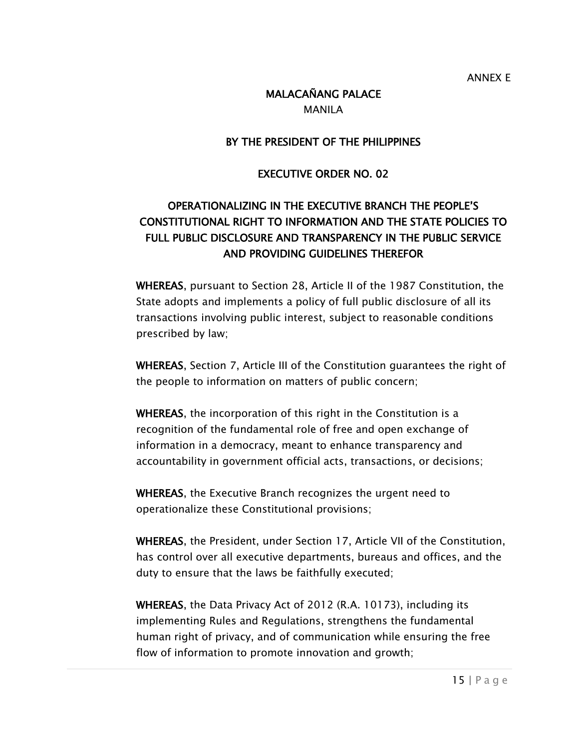# MALACAÑANG PALACE

MANILA

#### BY THE PRESIDENT OF THE PHILIPPINES

#### EXECUTIVE ORDER NO. 02

# OPERATIONALIZING IN THE EXECUTIVE BRANCH THE PEOPLE'S CONSTITUTIONAL RIGHT TO INFORMATION AND THE STATE POLICIES TO FULL PUBLIC DISCLOSURE AND TRANSPARENCY IN THE PUBLIC SERVICE AND PROVIDING GUIDELINES THEREFOR

WHEREAS, pursuant to Section 28, Article II of the 1987 Constitution, the State adopts and implements a policy of full public disclosure of all its transactions involving public interest, subject to reasonable conditions prescribed by law;

WHEREAS, Section 7, Article III of the Constitution guarantees the right of the people to information on matters of public concern;

WHEREAS, the incorporation of this right in the Constitution is a recognition of the fundamental role of free and open exchange of information in a democracy, meant to enhance transparency and accountability in government official acts, transactions, or decisions;

WHEREAS, the Executive Branch recognizes the urgent need to operationalize these Constitutional provisions;

WHEREAS, the President, under Section 17, Article VII of the Constitution, has control over all executive departments, bureaus and offices, and the duty to ensure that the laws be faithfully executed;

WHEREAS, the Data Privacy Act of 2012 (R.A. 10173), including its implementing Rules and Regulations, strengthens the fundamental human right of privacy, and of communication while ensuring the free flow of information to promote innovation and growth;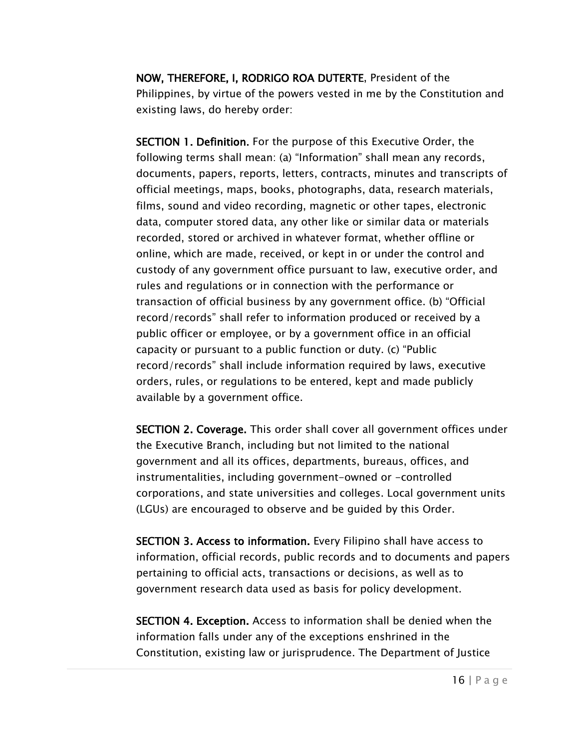NOW, THEREFORE, I, RODRIGO ROA DUTERTE, President of the Philippines, by virtue of the powers vested in me by the Constitution and existing laws, do hereby order:

SECTION 1. Definition. For the purpose of this Executive Order, the following terms shall mean: (a) "Information" shall mean any records, documents, papers, reports, letters, contracts, minutes and transcripts of official meetings, maps, books, photographs, data, research materials, films, sound and video recording, magnetic or other tapes, electronic data, computer stored data, any other like or similar data or materials recorded, stored or archived in whatever format, whether offline or online, which are made, received, or kept in or under the control and custody of any government office pursuant to law, executive order, and rules and regulations or in connection with the performance or transaction of official business by any government office. (b) "Official record/records" shall refer to information produced or received by a public officer or employee, or by a government office in an official capacity or pursuant to a public function or duty. (c) "Public record/records" shall include information required by laws, executive orders, rules, or regulations to be entered, kept and made publicly available by a government office.

SECTION 2. Coverage. This order shall cover all government offices under the Executive Branch, including but not limited to the national government and all its offices, departments, bureaus, offices, and instrumentalities, including government-owned or -controlled corporations, and state universities and colleges. Local government units (LGUs) are encouraged to observe and be guided by this Order.

SECTION 3. Access to information. Every Filipino shall have access to information, official records, public records and to documents and papers pertaining to official acts, transactions or decisions, as well as to government research data used as basis for policy development.

SECTION 4. Exception. Access to information shall be denied when the information falls under any of the exceptions enshrined in the Constitution, existing law or jurisprudence. The Department of Justice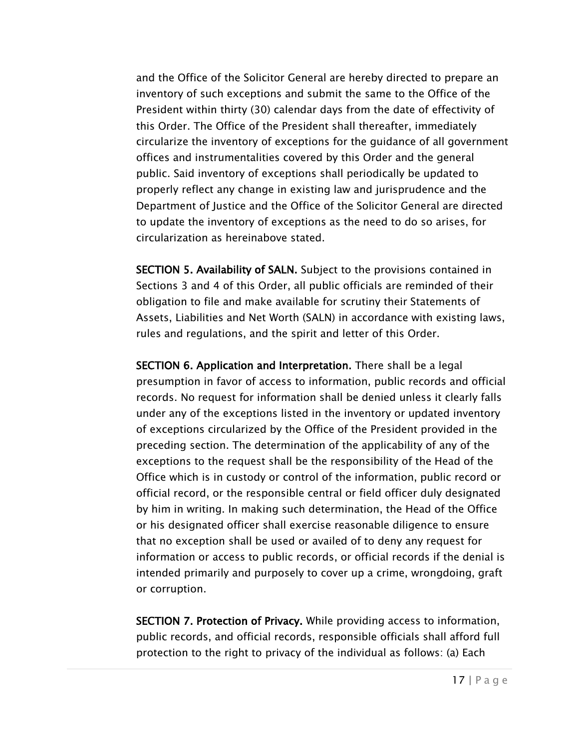and the Office of the Solicitor General are hereby directed to prepare an inventory of such exceptions and submit the same to the Office of the President within thirty (30) calendar days from the date of effectivity of this Order. The Office of the President shall thereafter, immediately circularize the inventory of exceptions for the guidance of all government offices and instrumentalities covered by this Order and the general public. Said inventory of exceptions shall periodically be updated to properly reflect any change in existing law and jurisprudence and the Department of Justice and the Office of the Solicitor General are directed to update the inventory of exceptions as the need to do so arises, for circularization as hereinabove stated.

SECTION 5. Availability of SALN. Subject to the provisions contained in Sections 3 and 4 of this Order, all public officials are reminded of their obligation to file and make available for scrutiny their Statements of Assets, Liabilities and Net Worth (SALN) in accordance with existing laws, rules and regulations, and the spirit and letter of this Order.

SECTION 6. Application and Interpretation. There shall be a legal presumption in favor of access to information, public records and official records. No request for information shall be denied unless it clearly falls under any of the exceptions listed in the inventory or updated inventory of exceptions circularized by the Office of the President provided in the preceding section. The determination of the applicability of any of the exceptions to the request shall be the responsibility of the Head of the Office which is in custody or control of the information, public record or official record, or the responsible central or field officer duly designated by him in writing. In making such determination, the Head of the Office or his designated officer shall exercise reasonable diligence to ensure that no exception shall be used or availed of to deny any request for information or access to public records, or official records if the denial is intended primarily and purposely to cover up a crime, wrongdoing, graft or corruption.

SECTION 7. Protection of Privacy. While providing access to information, public records, and official records, responsible officials shall afford full protection to the right to privacy of the individual as follows: (a) Each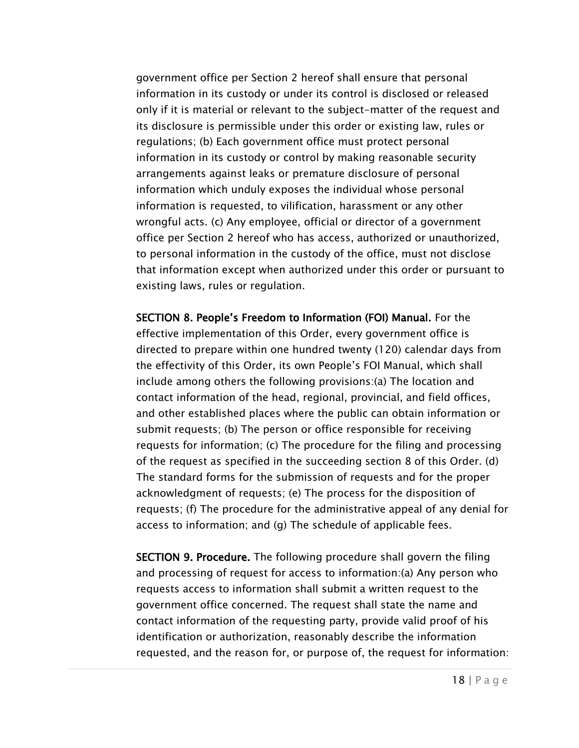government office per Section 2 hereof shall ensure that personal information in its custody or under its control is disclosed or released only if it is material or relevant to the subject-matter of the request and its disclosure is permissible under this order or existing law, rules or regulations; (b) Each government office must protect personal information in its custody or control by making reasonable security arrangements against leaks or premature disclosure of personal information which unduly exposes the individual whose personal information is requested, to vilification, harassment or any other wrongful acts. (c) Any employee, official or director of a government office per Section 2 hereof who has access, authorized or unauthorized, to personal information in the custody of the office, must not disclose that information except when authorized under this order or pursuant to existing laws, rules or regulation.

SECTION 8. People's Freedom to Information (FOI) Manual. For the effective implementation of this Order, every government office is directed to prepare within one hundred twenty (120) calendar days from the effectivity of this Order, its own People's FOI Manual, which shall include among others the following provisions:(a) The location and contact information of the head, regional, provincial, and field offices, and other established places where the public can obtain information or submit requests; (b) The person or office responsible for receiving requests for information; (c) The procedure for the filing and processing of the request as specified in the succeeding section 8 of this Order. (d) The standard forms for the submission of requests and for the proper acknowledgment of requests; (e) The process for the disposition of requests; (f) The procedure for the administrative appeal of any denial for access to information; and (g) The schedule of applicable fees.

SECTION 9. Procedure. The following procedure shall govern the filing and processing of request for access to information:(a) Any person who requests access to information shall submit a written request to the government office concerned. The request shall state the name and contact information of the requesting party, provide valid proof of his identification or authorization, reasonably describe the information requested, and the reason for, or purpose of, the request for information: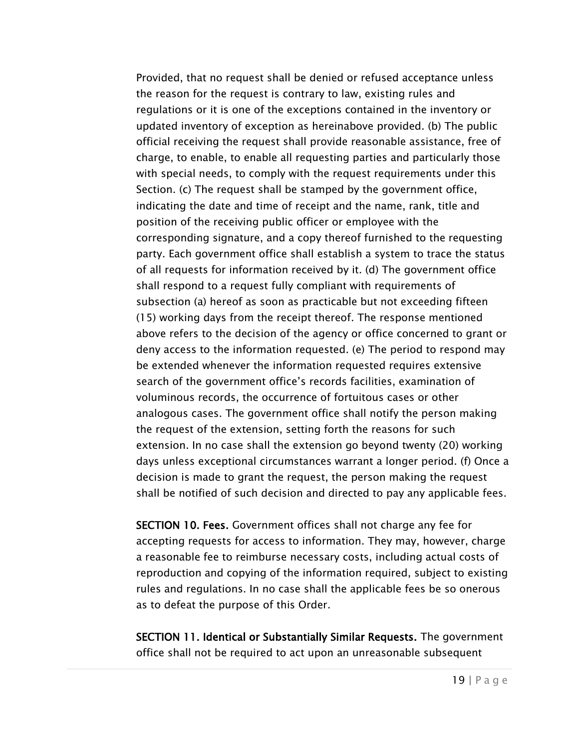Provided, that no request shall be denied or refused acceptance unless the reason for the request is contrary to law, existing rules and regulations or it is one of the exceptions contained in the inventory or updated inventory of exception as hereinabove provided. (b) The public official receiving the request shall provide reasonable assistance, free of charge, to enable, to enable all requesting parties and particularly those with special needs, to comply with the request requirements under this Section. (c) The request shall be stamped by the government office, indicating the date and time of receipt and the name, rank, title and position of the receiving public officer or employee with the corresponding signature, and a copy thereof furnished to the requesting party. Each government office shall establish a system to trace the status of all requests for information received by it. (d) The government office shall respond to a request fully compliant with requirements of subsection (a) hereof as soon as practicable but not exceeding fifteen (15) working days from the receipt thereof. The response mentioned above refers to the decision of the agency or office concerned to grant or deny access to the information requested. (e) The period to respond may be extended whenever the information requested requires extensive search of the government office's records facilities, examination of voluminous records, the occurrence of fortuitous cases or other analogous cases. The government office shall notify the person making the request of the extension, setting forth the reasons for such extension. In no case shall the extension go beyond twenty (20) working days unless exceptional circumstances warrant a longer period. (f) Once a decision is made to grant the request, the person making the request shall be notified of such decision and directed to pay any applicable fees.

SECTION 10. Fees. Government offices shall not charge any fee for accepting requests for access to information. They may, however, charge a reasonable fee to reimburse necessary costs, including actual costs of reproduction and copying of the information required, subject to existing rules and regulations. In no case shall the applicable fees be so onerous as to defeat the purpose of this Order.

SECTION 11. Identical or Substantially Similar Requests. The government office shall not be required to act upon an unreasonable subsequent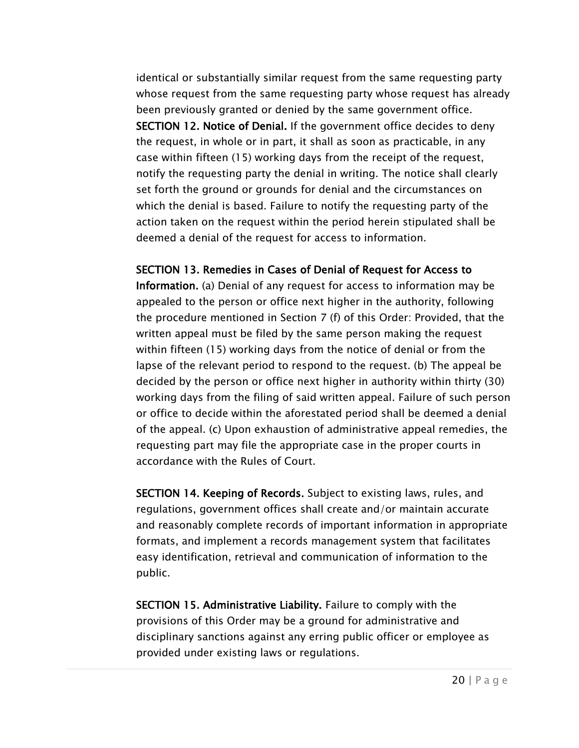identical or substantially similar request from the same requesting party whose request from the same requesting party whose request has already been previously granted or denied by the same government office. SECTION 12. Notice of Denial. If the government office decides to deny the request, in whole or in part, it shall as soon as practicable, in any case within fifteen (15) working days from the receipt of the request, notify the requesting party the denial in writing. The notice shall clearly set forth the ground or grounds for denial and the circumstances on which the denial is based. Failure to notify the requesting party of the action taken on the request within the period herein stipulated shall be deemed a denial of the request for access to information.

SECTION 13. Remedies in Cases of Denial of Request for Access to

Information. (a) Denial of any request for access to information may be appealed to the person or office next higher in the authority, following the procedure mentioned in Section 7 (f) of this Order: Provided, that the written appeal must be filed by the same person making the request within fifteen (15) working days from the notice of denial or from the lapse of the relevant period to respond to the request. (b) The appeal be decided by the person or office next higher in authority within thirty (30) working days from the filing of said written appeal. Failure of such person or office to decide within the aforestated period shall be deemed a denial of the appeal. (c) Upon exhaustion of administrative appeal remedies, the requesting part may file the appropriate case in the proper courts in accordance with the Rules of Court.

SECTION 14. Keeping of Records. Subject to existing laws, rules, and regulations, government offices shall create and/or maintain accurate and reasonably complete records of important information in appropriate formats, and implement a records management system that facilitates easy identification, retrieval and communication of information to the public.

SECTION 15. Administrative Liability. Failure to comply with the provisions of this Order may be a ground for administrative and disciplinary sanctions against any erring public officer or employee as provided under existing laws or regulations.